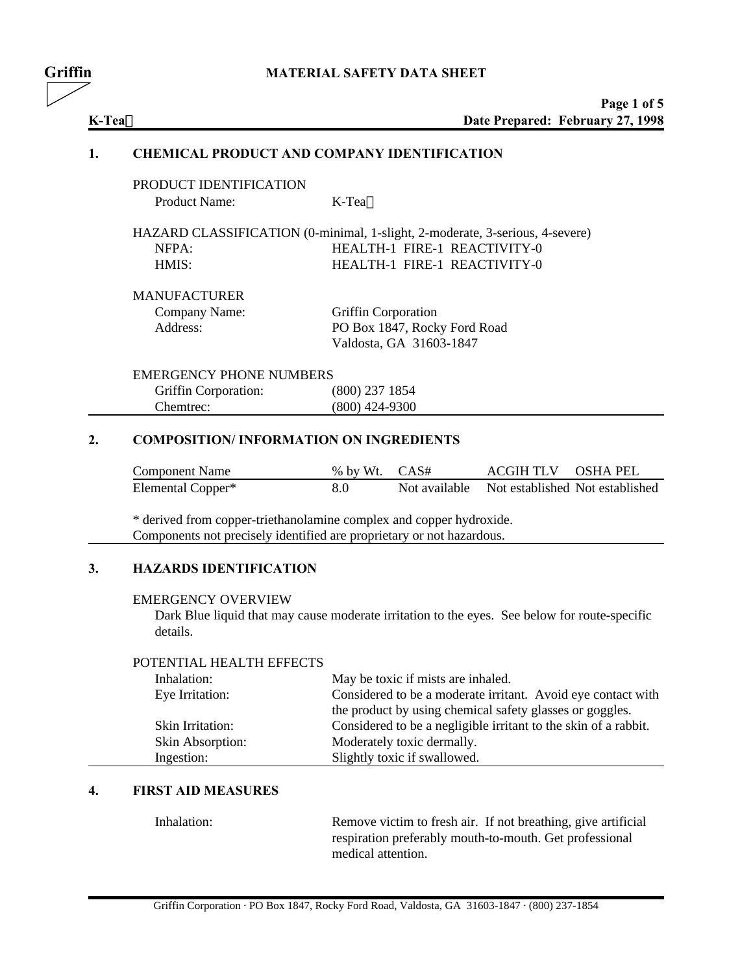# **Griffin MATERIAL SAFETY DATA SHEET**

|        | Page 1 of 5                      |
|--------|----------------------------------|
| K-Tea™ | Date Prepared: February 27, 1998 |

### **1. CHEMICAL PRODUCT AND COMPANY IDENTIFICATION**

| PRODUCT IDENTIFICATION |                        |
|------------------------|------------------------|
| Product Name:          | $K$ -Tea <sup>TM</sup> |

HAZARD CLASSIFICATION (0-minimal, 1-slight, 2-moderate, 3-serious, 4-severe) NFPA: HEALTH-1 FIRE-1 REACTIVITY-0 HMIS: HEALTH-1 FIRE-1 REACTIVITY-0

# MANUFACTURER

| Company Name: | <b>Griffin Corporation</b>   |
|---------------|------------------------------|
| Address:      | PO Box 1847, Rocky Ford Road |
|               | Valdosta, GA 31603-1847      |

# EMERGENCY PHONE NUMBERS

| Griffin Corporation: | $(800)$ 237 1854 |
|----------------------|------------------|
| Chemtrec:            | $(800)$ 424-9300 |

# **2. COMPOSITION/ INFORMATION ON INGREDIENTS**

| <b>Component Name</b> | % by Wt. CAS# | ACGIH TLV OSHA PEL                            |  |
|-----------------------|---------------|-----------------------------------------------|--|
| Elemental Copper*     | 8.0           | Not available Not established Not established |  |

\* derived from copper-triethanolamine complex and copper hydroxide. Components not precisely identified are proprietary or not hazardous.

# **3. HAZARDS IDENTIFICATION**

### EMERGENCY OVERVIEW

Dark Blue liquid that may cause moderate irritation to the eyes. See below for route-specific details.

# POTENTIAL HEALTH EFFECTS

| Inhalation:      | May be toxic if mists are inhaled.                              |
|------------------|-----------------------------------------------------------------|
| Eye Irritation:  | Considered to be a moderate irritant. Avoid eye contact with    |
|                  | the product by using chemical safety glasses or goggles.        |
| Skin Irritation: | Considered to be a negligible irritant to the skin of a rabbit. |
| Skin Absorption: | Moderately toxic dermally.                                      |
| Ingestion:       | Slightly toxic if swallowed.                                    |

# **4. FIRST AID MEASURES**

Inhalation: Remove victim to fresh air. If not breathing, give artificial respiration preferably mouth-to-mouth. Get professional medical attention.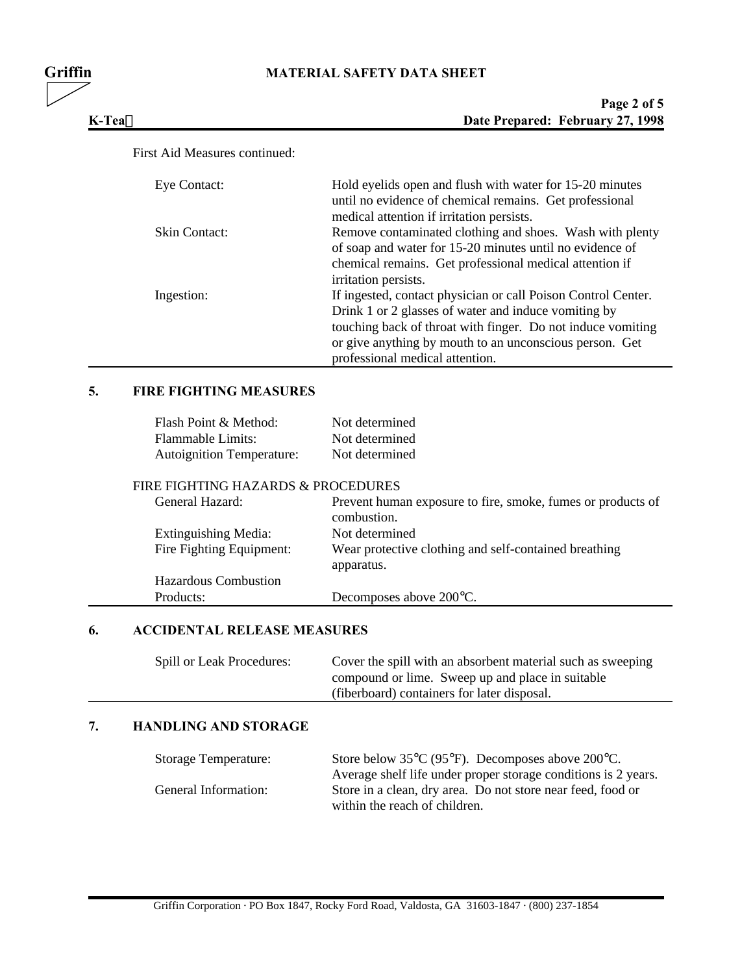# **Griffin MATERIAL SAFETY DATA SHEET**

| Page 2 of 5                      |
|----------------------------------|
| Date Prepared: February 27, 1998 |

# First Aid Measures continued:

 $K-Tea^{TM}$ 

| Eye Contact:         | Hold eyelids open and flush with water for 15-20 minutes      |
|----------------------|---------------------------------------------------------------|
|                      | until no evidence of chemical remains. Get professional       |
|                      |                                                               |
|                      | medical attention if irritation persists.                     |
| <b>Skin Contact:</b> | Remove contaminated clothing and shoes. Wash with plenty      |
|                      | of soap and water for 15-20 minutes until no evidence of      |
|                      | chemical remains. Get professional medical attention if       |
|                      | irritation persists.                                          |
| Ingestion:           | If ingested, contact physician or call Poison Control Center. |
|                      | Drink 1 or 2 glasses of water and induce vomiting by          |
|                      | touching back of throat with finger. Do not induce vomiting   |
|                      | or give anything by mouth to an unconscious person. Get       |
|                      | professional medical attention.                               |

# **5. FIRE FIGHTING MEASURES**

| Flash Point & Method:            | Not determined |
|----------------------------------|----------------|
| Flammable Limits:                | Not determined |
| <b>Autoignition Temperature:</b> | Not determined |

# FIRE FIGHTING HAZARDS & PROCEDURES

| General Hazard:             | Prevent human exposure to fire, smoke, fumes or products of<br>combustion. |
|-----------------------------|----------------------------------------------------------------------------|
| Extinguishing Media:        | Not determined                                                             |
| Fire Fighting Equipment:    | Wear protective clothing and self-contained breathing                      |
|                             | apparatus.                                                                 |
| <b>Hazardous Combustion</b> |                                                                            |
| Products:                   | Decomposes above 200 °C.                                                   |

# **6. ACCIDENTAL RELEASE MEASURES**

| Spill or Leak Procedures: | Cover the spill with an absorbent material such as sweeping |
|---------------------------|-------------------------------------------------------------|
|                           | compound or lime. Sweep up and place in suitable            |
|                           | (fiberboard) containers for later disposal.                 |

# **7. HANDLING AND STORAGE**

| <b>Storage Temperature:</b> | Store below $35^{\circ}C$ (95 $^{\circ}F$ ). Decomposes above 200 $^{\circ}C$ . |
|-----------------------------|---------------------------------------------------------------------------------|
|                             | Average shelf life under proper storage conditions is 2 years.                  |
| General Information:        | Store in a clean, dry area. Do not store near feed, food or                     |
|                             | within the reach of children.                                                   |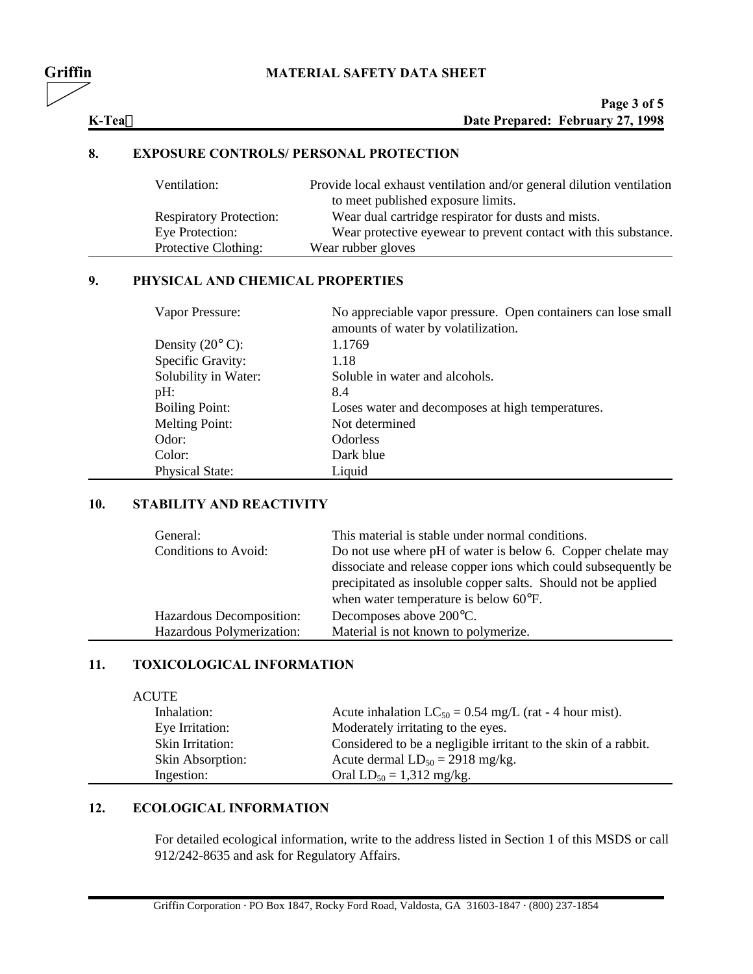# **Griffin MATERIAL SAFETY DATA SHEET**

|        | Page 3 of 5                      |
|--------|----------------------------------|
| K-Tea™ | Date Prepared: February 27, 1998 |

### **8. EXPOSURE CONTROLS/ PERSONAL PROTECTION**

| Ventilation:                   | Provide local exhaust ventilation and/or general dilution ventilation<br>to meet published exposure limits. |
|--------------------------------|-------------------------------------------------------------------------------------------------------------|
| <b>Respiratory Protection:</b> | Wear dual cartridge respirator for dusts and mists.                                                         |
| Eye Protection:                | Wear protective eyewear to prevent contact with this substance.                                             |
| Protective Clothing:           | Wear rubber gloves                                                                                          |

# **9. PHYSICAL AND CHEMICAL PROPERTIES**

| Vapor Pressure:                    | No appreciable vapor pressure. Open containers can lose small<br>amounts of water by volatilization. |
|------------------------------------|------------------------------------------------------------------------------------------------------|
| Density $(20^{\circ} \text{ C})$ : | 1.1769                                                                                               |
| Specific Gravity:                  | 1.18                                                                                                 |
| Solubility in Water:               | Soluble in water and alcohols.                                                                       |
| pH:                                | 8.4                                                                                                  |
| <b>Boiling Point:</b>              | Loses water and decomposes at high temperatures.                                                     |
| <b>Melting Point:</b>              | Not determined                                                                                       |
| Odor:                              | <b>Odorless</b>                                                                                      |
| Color:                             | Dark blue                                                                                            |
| <b>Physical State:</b>             | Liquid                                                                                               |

# **10. STABILITY AND REACTIVITY**

| General:<br>Conditions to Avoid: | This material is stable under normal conditions.<br>Do not use where pH of water is below 6. Copper chelate may<br>dissociate and release copper ions which could subsequently be<br>precipitated as insoluble copper salts. Should not be applied<br>when water temperature is below 60°F. |
|----------------------------------|---------------------------------------------------------------------------------------------------------------------------------------------------------------------------------------------------------------------------------------------------------------------------------------------|
| Hazardous Decomposition:         | Decomposes above 200°C.                                                                                                                                                                                                                                                                     |
| Hazardous Polymerization:        | Material is not known to polymerize.                                                                                                                                                                                                                                                        |

# **11. TOXICOLOGICAL INFORMATION**

| <b>ACUTE</b>     |                                                                 |
|------------------|-----------------------------------------------------------------|
| Inhalation:      | Acute inhalation $LC_{50} = 0.54$ mg/L (rat - 4 hour mist).     |
| Eye Irritation:  | Moderately irritating to the eyes.                              |
| Skin Irritation: | Considered to be a negligible irritant to the skin of a rabbit. |
| Skin Absorption: | Acute dermal $LD_{50} = 2918$ mg/kg.                            |
| Ingestion:       | Oral $LD_{50} = 1,312$ mg/kg.                                   |

# **12. ECOLOGICAL INFORMATION**

For detailed ecological information, write to the address listed in Section 1 of this MSDS or call 912/242-8635 and ask for Regulatory Affairs.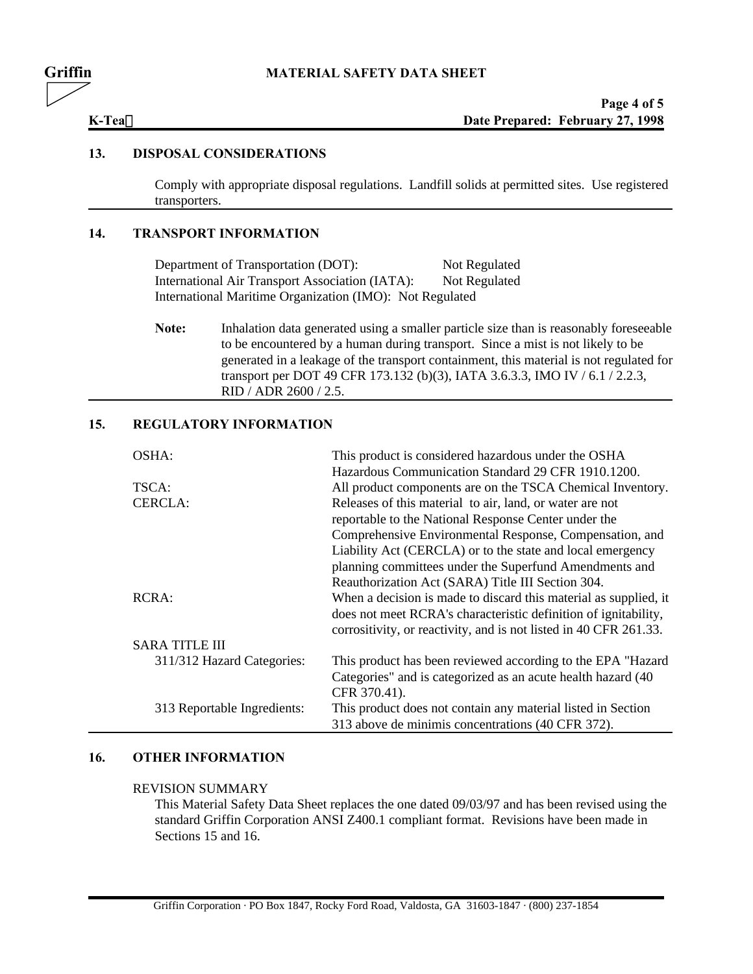### **13. DISPOSAL CONSIDERATIONS**

Comply with appropriate disposal regulations. Landfill solids at permitted sites. Use registered transporters.

# **14. TRANSPORT INFORMATION**

Department of Transportation (DOT): Not Regulated International Air Transport Association (IATA): Not Regulated International Maritime Organization (IMO): Not Regulated

Note: Inhalation data generated using a smaller particle size than is reasonably foreseeable to be encountered by a human during transport. Since a mist is not likely to be generated in a leakage of the transport containment, this material is not regulated for transport per DOT 49 CFR 173.132 (b)(3), IATA 3.6.3.3, IMO IV / 6.1 / 2.2.3, RID / ADR 2600 / 2.5.

# **15. REGULATORY INFORMATION**

| OSHA:                       | This product is considered hazardous under the OSHA               |
|-----------------------------|-------------------------------------------------------------------|
|                             | Hazardous Communication Standard 29 CFR 1910.1200.                |
| TSCA:                       | All product components are on the TSCA Chemical Inventory.        |
| CERCLA:                     | Releases of this material to air, land, or water are not          |
|                             | reportable to the National Response Center under the              |
|                             | Comprehensive Environmental Response, Compensation, and           |
|                             | Liability Act (CERCLA) or to the state and local emergency        |
|                             | planning committees under the Superfund Amendments and            |
|                             | Reauthorization Act (SARA) Title III Section 304.                 |
| RCRA:                       | When a decision is made to discard this material as supplied, it  |
|                             | does not meet RCRA's characteristic definition of ignitability,   |
|                             | corrositivity, or reactivity, and is not listed in 40 CFR 261.33. |
| <b>SARA TITLE III</b>       |                                                                   |
| 311/312 Hazard Categories:  | This product has been reviewed according to the EPA "Hazard"      |
|                             | Categories" and is categorized as an acute health hazard (40      |
|                             | CFR 370.41).                                                      |
| 313 Reportable Ingredients: | This product does not contain any material listed in Section      |
|                             | 313 above de minimis concentrations (40 CFR 372).                 |

# **16. OTHER INFORMATION**

### REVISION SUMMARY

This Material Safety Data Sheet replaces the one dated 09/03/97 and has been revised using the standard Griffin Corporation ANSI Z400.1 compliant format. Revisions have been made in Sections 15 and 16.